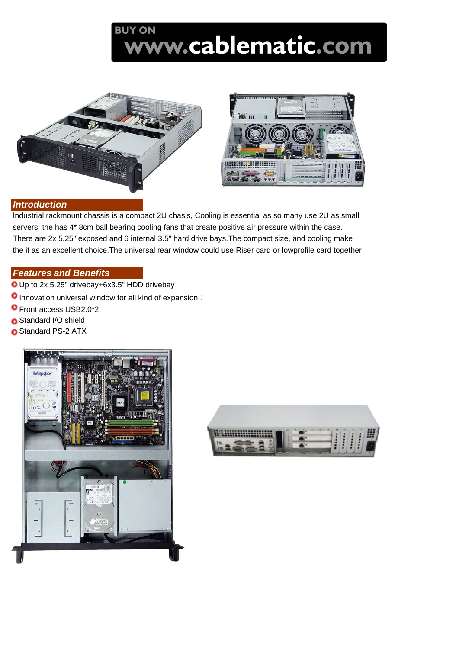## **BUY ON** ww.cablematic.com





## *Introduction*

Industrial rackmount chassis is a compact 2U chasis, Cooling is essential as so many use 2U as small servers; the has 4\* 8cm ball bearing cooling fans that create positive air pressure within the case. There are 2x 5.25" exposed and 6 internal 3.5" hard drive bays.The compact size, and cooling make the it as an excellent choice.The universal rear window could use Riser card or lowprofile card together

## *Features and Benefits*

- Up to 2x 5.25" drivebay+6x3.5" HDD drivebay
- **O** Innovation universal window for all kind of expansion !
- Front access USB2.0\*2
- Standard I/O shield
- **O** Standard PS-2 ATX